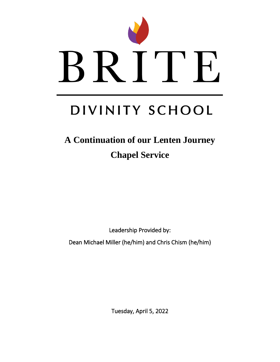

# DIVINITY SCHOOL

# **A Continuation of our Lenten Journey Chapel Service**

Leadership Provided by:

Dean Michael Miller (he/him) and Chris Chism (he/him)

Tuesday, April 5, 2022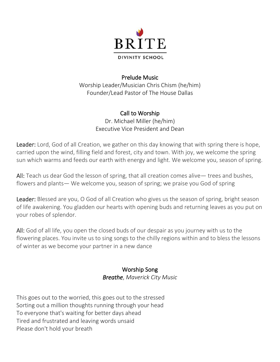

#### Prelude Music

Worship Leader/Musician Chris Chism (he/him) Founder/Lead Pastor of The House Dallas

# Call to Worship

Dr. Michael Miller (he/him) Executive Vice President and Dean

Leader: Lord, God of all Creation, we gather on this day knowing that with spring there is hope, carried upon the wind, filling field and forest, city and town. With joy, we welcome the spring sun which warms and feeds our earth with energy and light. We welcome you, season of spring.

All: Teach us dear God the lesson of spring, that all creation comes alive— trees and bushes, flowers and plants— We welcome you, season of spring; we praise you God of spring

Leader: Blessed are you, O God of all Creation who gives us the season of spring, bright season of life awakening. You gladden our hearts with opening buds and returning leaves as you put on your robes of splendor.

All: God of all life, you open the closed buds of our despair as you journey with us to the flowering places. You invite us to sing songs to the chilly regions within and to bless the lessons of winter as we become your partner in a new dance

#### Worship Song *Breathe*, *Maverick City Music*

This goes out to the worried, this goes out to the stressed Sorting out a million thoughts running through your head To everyone that's waiting for better days ahead Tired and frustrated and leaving words unsaid Please don't hold your breath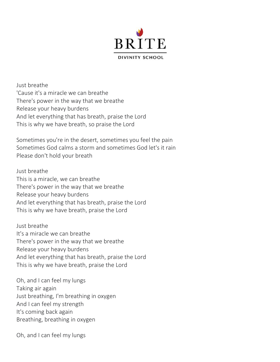

Just breathe 'Cause it's a miracle we can breathe There's power in the way that we breathe Release your heavy burdens And let everything that has breath, praise the Lord This is why we have breath, so praise the Lord

Sometimes you're in the desert, sometimes you feel the pain Sometimes God calms a storm and sometimes God let's it rain Please don't hold your breath

Just breathe This is a miracle, we can breathe There's power in the way that we breathe Release your heavy burdens And let everything that has breath, praise the Lord This is why we have breath, praise the Lord

Just breathe It's a miracle we can breathe There's power in the way that we breathe Release your heavy burdens And let everything that has breath, praise the Lord This is why we have breath, praise the Lord

Oh, and I can feel my lungs Taking air again Just breathing, I'm breathing in oxygen And I can feel my strength It's coming back again Breathing, breathing in oxygen

Oh, and I can feel my lungs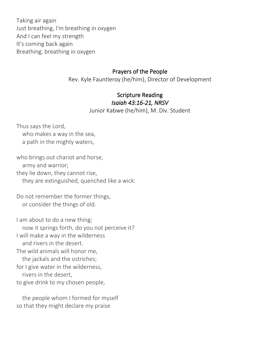Taking air again Just breathing, I'm breathing in oxygen And I can feel my strength It's coming back again Breathing, breathing in oxygen

#### Prayers of the People

Rev. Kyle Fauntleroy (he/him), Director of Development

#### Scripture Reading *Isaiah 43:16-21, NRSV*

Junior Kabwe (he/him), M. Div. Student

Thus says the Lord, who makes a way in the sea, a path in the mighty waters,

who brings out chariot and horse, army and warrior; they lie down, they cannot rise, they are extinguished, quenched like a wick:

Do not remember the former things, or consider the things of old.

I am about to do a new thing; now it springs forth, do you not perceive it? I will make a way in the wilderness and rivers in the desert. The wild animals will honor me, the jackals and the ostriches; for I give water in the wilderness, rivers in the desert, to give drink to my chosen people,

 the people whom I formed for myself so that they might declare my praise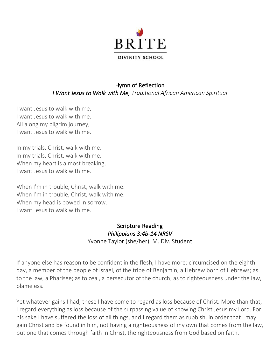

## Hymn of Reflection *I Want Jesus to Walk with Me, Traditional African American Spiritual*

I want Jesus to walk with me, I want Jesus to walk with me. All along my pilgrim journey, I want Jesus to walk with me.

In my trials, Christ, walk with me. In my trials, Christ, walk with me. When my heart is almost breaking, I want Jesus to walk with me.

When I'm in trouble, Christ, walk with me. When I'm in trouble, Christ, walk with me. When my head is bowed in sorrow. I want Jesus to walk with me.

#### Scripture Reading *Philippians 3:4b-14 NRSV*  Yvonne Taylor (she/her), M. Div. Student

If anyone else has reason to be confident in the flesh, I have more: circumcised on the eighth day, a member of the people of Israel, of the tribe of Benjamin, a Hebrew born of Hebrews; as to the law, a Pharisee; as to zeal, a persecutor of the church; as to righteousness under the law, blameless.

Yet whatever gains I had, these I have come to regard as loss because of Christ. More than that, I regard everything as loss because of the surpassing value of knowing Christ Jesus my Lord. For his sake I have suffered the loss of all things, and I regard them as rubbish, in order that I may gain Christ and be found in him, not having a righteousness of my own that comes from the law, but one that comes through faith in Christ, the righteousness from God based on faith.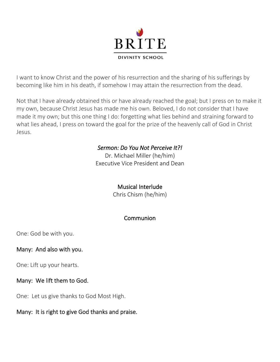

I want to know Christ and the power of his resurrection and the sharing of his sufferings by becoming like him in his death, if somehow I may attain the resurrection from the dead.

Not that I have already obtained this or have already reached the goal; but I press on to make it my own, because Christ Jesus has made me his own. Beloved, I do not consider that I have made it my own; but this one thing I do: forgetting what lies behind and straining forward to what lies ahead, I press on toward the goal for the prize of the heavenly call of God in Christ Jesus.

#### *Sermon: Do You Not Perceive It?!*

Dr. Michael Miller (he/him) Executive Vice President and Dean

#### Musical Interlude

Chris Chism (he/him)

## Communion

One: God be with you.

#### Many: And also with you.

One: Lift up your hearts.

#### Many: We lift them to God.

One: Let us give thanks to God Most High.

#### Many: It is right to give God thanks and praise.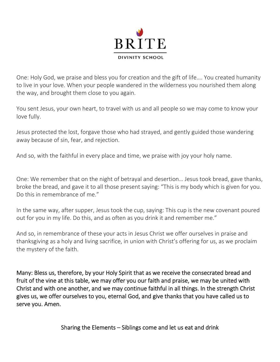

One: Holy God, we praise and bless you for creation and the gift of life…. You created humanity to live in your love. When your people wandered in the wilderness you nourished them along the way, and brought them close to you again.

You sent Jesus, your own heart, to travel with us and all people so we may come to know your love fully.

Jesus protected the lost, forgave those who had strayed, and gently guided those wandering away because of sin, fear, and rejection.

And so, with the faithful in every place and time, we praise with joy your holy name.

One: We remember that on the night of betrayal and desertion… Jesus took bread, gave thanks, broke the bread, and gave it to all those present saying: "This is my body which is given for you. Do this in remembrance of me."

In the same way, after supper, Jesus took the cup, saying: This cup is the new covenant poured out for you in my life. Do this, and as often as you drink it and remember me."

And so, in remembrance of these your acts in Jesus Christ we offer ourselves in praise and thanksgiving as a holy and living sacrifice, in union with Christ's offering for us, as we proclaim the mystery of the faith.

Many: Bless us, therefore, by your Holy Spirit that as we receive the consecrated bread and fruit of the vine at this table, we may offer you our faith and praise, we may be united with Christ and with one another, and we may continue faithful in all things. In the strength Christ gives us, we offer ourselves to you, eternal God, and give thanks that you have called us to serve you. Amen.

Sharing the Elements – Siblings come and let us eat and drink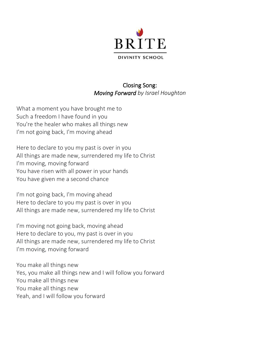

#### Closing Song: *Moving Forward by Israel Houghton*

What a moment you have brought me to Such a freedom I have found in you You're the healer who makes all things new I'm not going back, I'm moving ahead

Here to declare to you my past is over in you All things are made new, surrendered my life to Christ I'm moving, moving forward You have risen with all power in your hands You have given me a second chance

I'm not going back, I'm moving ahead Here to declare to you my past is over in you All things are made new, surrendered my life to Christ

I'm moving not going back, moving ahead Here to declare to you, my past is over in you All things are made new, surrendered my life to Christ I'm moving, moving forward

You make all things new Yes, you make all things new and I will follow you forward You make all things new You make all things new Yeah, and I will follow you forward